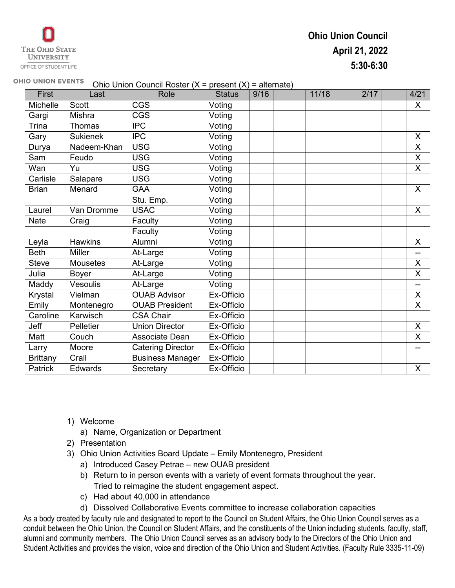# **Ohio Union Council April 21, 2022 5:30-6:30**

#### **OHIO UNION EVENTS** Ohio Union Council Roster (X = present (X) = alternate)

| First           | Last            | Role                     | <b>Status</b> | 9/16 | 11/18 | 2/17 | 4/21                      |
|-----------------|-----------------|--------------------------|---------------|------|-------|------|---------------------------|
| <b>Michelle</b> | <b>Scott</b>    | CGS                      | Voting        |      |       |      | X                         |
| Gargi           | Mishra          | <b>CGS</b>               | Voting        |      |       |      |                           |
| Trina           | Thomas          | <b>IPC</b>               | Voting        |      |       |      |                           |
| Gary            | <b>Sukienek</b> | <b>IPC</b>               | Voting        |      |       |      | X                         |
| Durya           | Nadeem-Khan     | <b>USG</b>               | Voting        |      |       |      | X                         |
| Sam             | Feudo           | <b>USG</b>               | Voting        |      |       |      | $\overline{X}$            |
| Wan             | Yu              | <b>USG</b>               | Voting        |      |       |      | $\sf X$                   |
| Carlisle        | Salapare        | <b>USG</b>               | Voting        |      |       |      |                           |
| <b>Brian</b>    | Menard          | <b>GAA</b>               | Voting        |      |       |      | X                         |
|                 |                 | Stu. Emp.                | Voting        |      |       |      |                           |
| Laurel          | Van Dromme      | <b>USAC</b>              | Voting        |      |       |      | X                         |
| <b>Nate</b>     | Craig           | Faculty                  | Voting        |      |       |      |                           |
|                 |                 | Faculty                  | Voting        |      |       |      |                           |
| Leyla           | <b>Hawkins</b>  | Alumni                   | Voting        |      |       |      | $\times$                  |
| <b>Beth</b>     | <b>Miller</b>   | At-Large                 | Voting        |      |       |      | --                        |
| <b>Steve</b>    | <b>Mousetes</b> | At-Large                 | Voting        |      |       |      | X                         |
| Julia           | Boyer           | At-Large                 | Voting        |      |       |      | X                         |
| Maddy           | Vesoulis        | At-Large                 | Voting        |      |       |      | --                        |
| Krystal         | Vielman         | <b>OUAB Advisor</b>      | Ex-Officio    |      |       |      | X                         |
| Emily           | Montenegro      | <b>OUAB President</b>    | Ex-Officio    |      |       |      | X                         |
| Caroline        | Karwisch        | <b>CSA Chair</b>         | Ex-Officio    |      |       |      |                           |
| Jeff            | Pelletier       | <b>Union Director</b>    | Ex-Officio    |      |       |      | $\boldsymbol{\mathsf{X}}$ |
| Matt            | Couch           | Associate Dean           | Ex-Officio    |      |       |      | X                         |
| Larry           | Moore           | <b>Catering Director</b> | Ex-Officio    |      |       |      | --                        |
| <b>Brittany</b> | Crall           | <b>Business Manager</b>  | Ex-Officio    |      |       |      |                           |
| Patrick         | Edwards         | Secretary                | Ex-Officio    |      |       |      | X                         |

- 1) Welcome
	- a) Name, Organization or Department
- 2) Presentation
- 3) Ohio Union Activities Board Update Emily Montenegro, President
	- a) Introduced Casey Petrae new OUAB president
	- b) Return to in person events with a variety of event formats throughout the year. Tried to reimagine the student engagement aspect.
	- c) Had about 40,000 in attendance
	- d) Dissolved Collaborative Events committee to increase collaboration capacities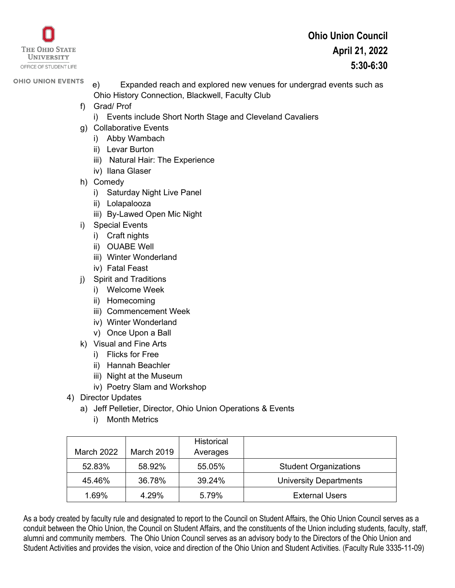

- e) Expanded reach and explored new venues for undergrad events such as Ohio History Connection, Blackwell, Faculty Club
- f) Grad/ Prof
	- i) Events include Short North Stage and Cleveland Cavaliers
- g) Collaborative Events
	- i) Abby Wambach
	- ii) Levar Burton
	- iii) Natural Hair: The Experience
	- iv) Ilana Glaser
- h) Comedy
	- i) Saturday Night Live Panel
	- ii) Lolapalooza
	- iii) By-Lawed Open Mic Night
- i) Special Events
	- i) Craft nights
	- ii) OUABE Well
	- iii) Winter Wonderland
	- iv) Fatal Feast
- j) Spirit and Traditions
	- i) Welcome Week
	- ii) Homecoming
	- iii) Commencement Week
	- iv) Winter Wonderland
	- v) Once Upon a Ball
- k) Visual and Fine Arts
	- i) Flicks for Free
	- ii) Hannah Beachler
	- iii) Night at the Museum
	- iv) Poetry Slam and Workshop
- 4) Director Updates
	- a) Jeff Pelletier, Director, Ohio Union Operations & Events
		- i) Month Metrics

|                   |                   | <b>Historical</b> |                               |
|-------------------|-------------------|-------------------|-------------------------------|
| <b>March 2022</b> | <b>March 2019</b> | Averages          |                               |
| 52.83%            | 58.92%            | 55.05%            | <b>Student Organizations</b>  |
| 45.46%            | 36.78%            | 39.24%            | <b>University Departments</b> |
| 1.69%             | 4.29%             | 5.79%             | <b>External Users</b>         |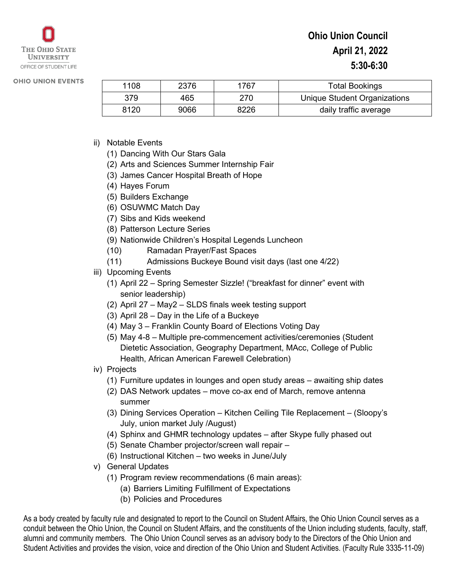| 1108 | 2376 | 767  | <b>Total Bookings</b>        |
|------|------|------|------------------------------|
| 379  | 465  | ?70  | Unique Student Organizations |
| 8120 | 9066 | 8226 | daily traffic average        |

- ii) Notable Events
	- (1) Dancing With Our Stars Gala
	- (2) Arts and Sciences Summer Internship Fair
	- (3) James Cancer Hospital Breath of Hope
	- (4) Hayes Forum
	- (5) Builders Exchange
	- (6) OSUWMC Match Day
	- (7) Sibs and Kids weekend
	- (8) Patterson Lecture Series
	- (9) Nationwide Children's Hospital Legends Luncheon
	- (10) Ramadan Prayer/Fast Spaces
	- (11) Admissions Buckeye Bound visit days (last one 4/22)
- iii) Upcoming Events
	- (1) April 22 Spring Semester Sizzle! ("breakfast for dinner" event with senior leadership)
	- (2) April 27 May2 SLDS finals week testing support
	- (3) April 28 Day in the Life of a Buckeye
	- (4) May 3 Franklin County Board of Elections Voting Day
	- (5) May 4-8 Multiple pre-commencement activities/ceremonies (Student Dietetic Association, Geography Department, MAcc, College of Public Health, African American Farewell Celebration)
- iv) Projects
	- (1) Furniture updates in lounges and open study areas awaiting ship dates
	- (2) DAS Network updates move co-ax end of March, remove antenna summer
	- (3) Dining Services Operation Kitchen Ceiling Tile Replacement (Sloopy's July, union market July /August)
	- (4) Sphinx and GHMR technology updates after Skype fully phased out
	- (5) Senate Chamber projector/screen wall repair –
	- (6) Instructional Kitchen two weeks in June/July
- v) General Updates
	- (1) Program review recommendations (6 main areas):
		- (a) Barriers Limiting Fulfillment of Expectations
		- (b) Policies and Procedures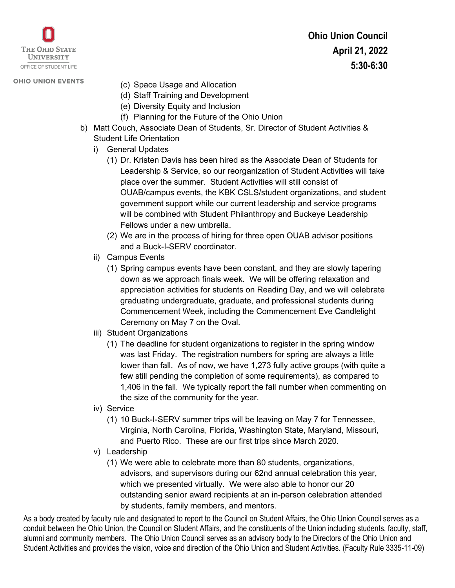

- (c) Space Usage and Allocation
- (d) Staff Training and Development
- (e) Diversity Equity and Inclusion
- (f) Planning for the Future of the Ohio Union
- b) Matt Couch, Associate Dean of Students, Sr. Director of Student Activities & Student Life Orientation
	- i) General Updates
		- (1) Dr. Kristen Davis has been hired as the Associate Dean of Students for Leadership & Service, so our reorganization of Student Activities will take place over the summer. Student Activities will still consist of OUAB/campus events, the KBK CSLS/student organizations, and student government support while our current leadership and service programs will be combined with Student Philanthropy and Buckeye Leadership Fellows under a new umbrella.
		- (2) We are in the process of hiring for three open OUAB advisor positions and a Buck-I-SERV coordinator.
	- ii) Campus Events
		- (1) Spring campus events have been constant, and they are slowly tapering down as we approach finals week. We will be offering relaxation and appreciation activities for students on Reading Day, and we will celebrate graduating undergraduate, graduate, and professional students during Commencement Week, including the Commencement Eve Candlelight Ceremony on May 7 on the Oval.
	- iii) Student Organizations
		- (1) The deadline for student organizations to register in the spring window was last Friday. The registration numbers for spring are always a little lower than fall. As of now, we have 1,273 fully active groups (with quite a few still pending the completion of some requirements), as compared to 1,406 in the fall. We typically report the fall number when commenting on the size of the community for the year.
	- iv) Service
		- (1) 10 Buck-I-SERV summer trips will be leaving on May 7 for Tennessee, Virginia, North Carolina, Florida, Washington State, Maryland, Missouri, and Puerto Rico. These are our first trips since March 2020.
	- v) Leadership
		- (1) We were able to celebrate more than 80 students, organizations, advisors, and supervisors during our 62nd annual celebration this year, which we presented virtually. We were also able to honor our 20 outstanding senior award recipients at an in-person celebration attended by students, family members, and mentors.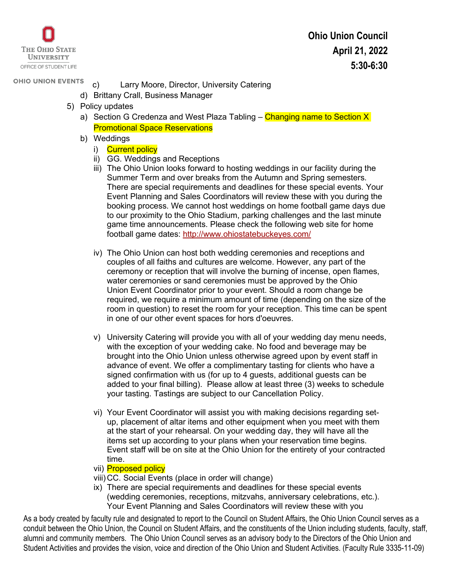

- **OHIO UNION EVENTS** c) Larry Moore, Director, University Catering
	- d) Brittany Crall, Business Manager
	- 5) Policy updates
		- a) Section G Credenza and West Plaza Tabling Changing name to Section X Promotional Space Reservations
		- b) Weddings
			- i) Current policy
			- ii) GG. Weddings and Receptions
			- iii) The Ohio Union looks forward to hosting weddings in our facility during the Summer Term and over breaks from the Autumn and Spring semesters. There are special requirements and deadlines for these special events. Your Event Planning and Sales Coordinators will review these with you during the booking process. We cannot host weddings on home football game days due to our proximity to the Ohio Stadium, parking challenges and the last minute game time announcements. Please check the following web site for home football game dates:<http://www.ohiostatebuckeyes.com/>
			- iv) The Ohio Union can host both wedding ceremonies and receptions and couples of all faiths and cultures are welcome. However, any part of the ceremony or reception that will involve the burning of incense, open flames, water ceremonies or sand ceremonies must be approved by the Ohio Union Event Coordinator prior to your event. Should a room change be required, we require a minimum amount of time (depending on the size of the room in question) to reset the room for your reception. This time can be spent in one of our other event spaces for hors d'oeuvres.
			- v) University Catering will provide you with all of your wedding day menu needs, with the exception of your wedding cake. No food and beverage may be brought into the Ohio Union unless otherwise agreed upon by event staff in advance of event. We offer a complimentary tasting for clients who have a signed confirmation with us (for up to 4 guests, additional guests can be added to your final billing). Please allow at least three (3) weeks to schedule your tasting. Tastings are subject to our Cancellation Policy.
			- vi) Your Event Coordinator will assist you with making decisions regarding setup, placement of altar items and other equipment when you meet with them at the start of your rehearsal. On your wedding day, they will have all the items set up according to your plans when your reservation time begins. Event staff will be on site at the Ohio Union for the entirety of your contracted time.
			- vii) Proposed policy
			- viii) CC. Social Events (place in order will change)
			- ix) There are special requirements and deadlines for these special events (wedding ceremonies, receptions, mitzvahs, anniversary celebrations, etc.). Your Event Planning and Sales Coordinators will review these with you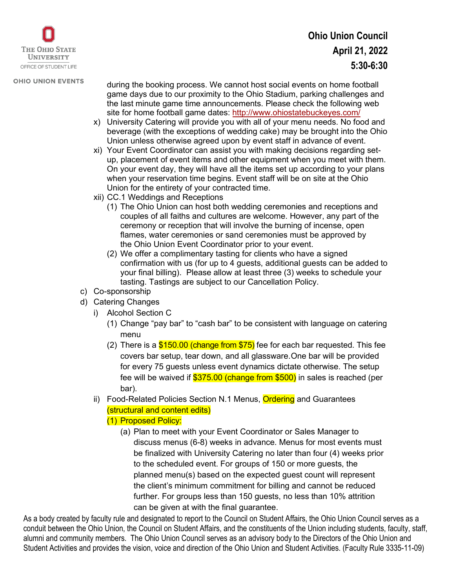

- during the booking process. We cannot host social events on home football game days due to our proximity to the Ohio Stadium, parking challenges and the last minute game time announcements. Please check the following web site for home football game dates:<http://www.ohiostatebuckeyes.com/>
- x) University Catering will provide you with all of your menu needs. No food and beverage (with the exceptions of wedding cake) may be brought into the Ohio Union unless otherwise agreed upon by event staff in advance of event.
- xi) Your Event Coordinator can assist you with making decisions regarding setup, placement of event items and other equipment when you meet with them. On your event day, they will have all the items set up according to your plans when your reservation time begins. Event staff will be on site at the Ohio Union for the entirety of your contracted time.
- xii) CC.1 Weddings and Receptions
	- (1) The Ohio Union can host both wedding ceremonies and receptions and couples of all faiths and cultures are welcome. However, any part of the ceremony or reception that will involve the burning of incense, open flames, water ceremonies or sand ceremonies must be approved by the Ohio Union Event Coordinator prior to your event.
	- (2) We offer a complimentary tasting for clients who have a signed confirmation with us (for up to 4 guests, additional guests can be added to your final billing). Please allow at least three (3) weeks to schedule your tasting. Tastings are subject to our Cancellation Policy.
- c) Co-sponsorship
- d) Catering Changes
	- i) Alcohol Section C
		- (1) Change "pay bar" to "cash bar" to be consistent with language on catering menu
		- (2) There is a  $$150.00$  (change from  $$75$ ) fee for each bar requested. This fee covers bar setup, tear down, and all glassware.One bar will be provided for every 75 guests unless event dynamics dictate otherwise. The setup fee will be waived if \$375.00 (change from \$500) in sales is reached (per bar).
	- ii) Food-Related Policies Section N.1 Menus, **Ordering** and Guarantees (structural and content edits)
		- (1) Proposed Policy:
			- (a) Plan to meet with your Event Coordinator or Sales Manager to discuss menus (6-8) weeks in advance. Menus for most events must be finalized with University Catering no later than four (4) weeks prior to the scheduled event. For groups of 150 or more guests, the planned menu(s) based on the expected guest count will represent the client's minimum commitment for billing and cannot be reduced further. For groups less than 150 guests, no less than 10% attrition can be given at with the final guarantee.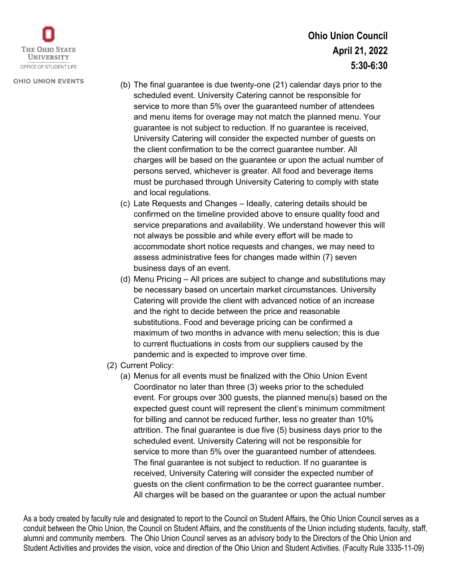

- (b) The final guarantee is due twenty-one (21) calendar days prior to the scheduled event. University Catering cannot be responsible for service to more than 5% over the guaranteed number of attendees and menu items for overage may not match the planned menu. Your guarantee is not subject to reduction. If no guarantee is received, University Catering will consider the expected number of guests on the client confirmation to be the correct guarantee number. All charges will be based on the guarantee or upon the actual number of persons served, whichever is greater. All food and beverage items must be purchased through University Catering to comply with state and local regulations.
- (c) Late Requests and Changes Ideally, catering details should be confirmed on the timeline provided above to ensure quality food and service preparations and availability. We understand however this will not always be possible and while every effort will be made to accommodate short notice requests and changes, we may need to assess administrative fees for changes made within (7) seven business days of an event.
- (d) Menu Pricing All prices are subject to change and substitutions may be necessary based on uncertain market circumstances. University Catering will provide the client with advanced notice of an increase and the right to decide between the price and reasonable substitutions. Food and beverage pricing can be confirmed a maximum of two months in advance with menu selection; this is due to current fluctuations in costs from our suppliers caused by the pandemic and is expected to improve over time.
- (2) Current Policy:
	- (a) Menus for all events must be finalized with the Ohio Union Event Coordinator no later than three (3) weeks prior to the scheduled event. For groups over 300 guests, the planned menu(s) based on the expected guest count will represent the client's minimum commitment for billing and cannot be reduced further, less no greater than 10% attrition. The final guarantee is due five (5) business days prior to the scheduled event. University Catering will not be responsible for service to more than 5% over the guaranteed number of attendees. The final guarantee is not subject to reduction. If no guarantee is received, University Catering will consider the expected number of guests on the client confirmation to be the correct guarantee number. All charges will be based on the guarantee or upon the actual number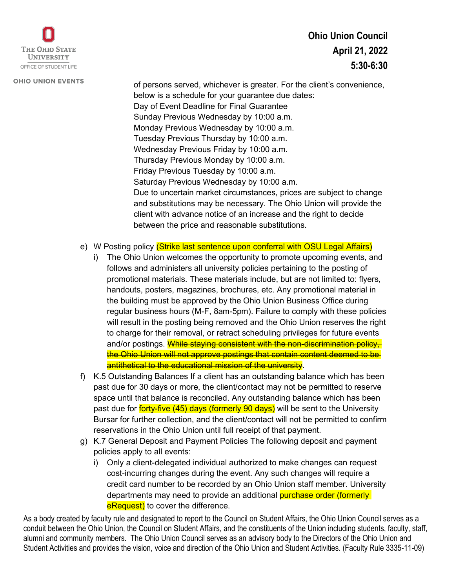

## **Ohio Union Council April 21, 2022 5:30-6:30**

of persons served, whichever is greater. For the client's convenience, below is a schedule for your guarantee due dates: Day of Event Deadline for Final Guarantee Sunday Previous Wednesday by 10:00 a.m. Monday Previous Wednesday by 10:00 a.m. Tuesday Previous Thursday by 10:00 a.m. Wednesday Previous Friday by 10:00 a.m. Thursday Previous Monday by 10:00 a.m. Friday Previous Tuesday by 10:00 a.m. Saturday Previous Wednesday by 10:00 a.m. Due to uncertain market circumstances, prices are subject to change and substitutions may be necessary. The Ohio Union will provide the client with advance notice of an increase and the right to decide between the price and reasonable substitutions.

- e) W Posting policy (Strike last sentence upon conferral with OSU Legal Affairs)
	- i) The Ohio Union welcomes the opportunity to promote upcoming events, and follows and administers all university policies pertaining to the posting of promotional materials. These materials include, but are not limited to: flyers, handouts, posters, magazines, brochures, etc. Any promotional material in the building must be approved by the Ohio Union Business Office during regular business hours (M-F, 8am-5pm). Failure to comply with these policies will result in the posting being removed and the Ohio Union reserves the right to charge for their removal, or retract scheduling privileges for future events and/or postings. While staying consistent with the non-discrimination policy, the Ohio Union will not approve postings that contain content deemed to be antithetical to the educational mission of the university.
- f) K.5 Outstanding Balances If a client has an outstanding balance which has been past due for 30 days or more, the client/contact may not be permitted to reserve space until that balance is reconciled. Any outstanding balance which has been past due for **forty-five (45) days (formerly 90 days)** will be sent to the University Bursar for further collection, and the client/contact will not be permitted to confirm reservations in the Ohio Union until full receipt of that payment.
- g) K.7 General Deposit and Payment Policies The following deposit and payment policies apply to all events:
	- i) Only a client-delegated individual authorized to make changes can request cost-incurring changes during the event. Any such changes will require a credit card number to be recorded by an Ohio Union staff member. University departments may need to provide an additional purchase order (formerly eRequest) to cover the difference.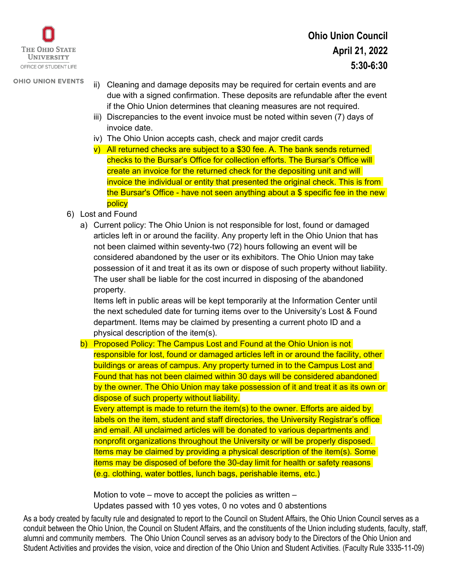

- ii) Cleaning and damage deposits may be required for certain events and are due with a signed confirmation. These deposits are refundable after the event if the Ohio Union determines that cleaning measures are not required.
- iii) Discrepancies to the event invoice must be noted within seven (7) days of invoice date.
- iv) The Ohio Union accepts cash, check and major credit cards
- v) All returned checks are subject to a \$30 fee. A. The bank sends returned checks to the Bursar's Office for collection efforts. The Bursar's Office will create an invoice for the returned check for the depositing unit and will invoice the individual or entity that presented the original check. This is from the Bursar's Office - have not seen anything about a \$ specific fee in the new policy
- 6) Lost and Found
	- a) Current policy: The Ohio Union is not responsible for lost, found or damaged articles left in or around the facility. Any property left in the Ohio Union that has not been claimed within seventy-two (72) hours following an event will be considered abandoned by the user or its exhibitors. The Ohio Union may take possession of it and treat it as its own or dispose of such property without liability. The user shall be liable for the cost incurred in disposing of the abandoned property.

Items left in public areas will be kept temporarily at the Information Center until the next scheduled date for turning items over to the University's Lost & Found department. Items may be claimed by presenting a current photo ID and a physical description of the item(s).

b) Proposed Policy: The Campus Lost and Found at the Ohio Union is not responsible for lost, found or damaged articles left in or around the facility, other buildings or areas of campus. Any property turned in to the Campus Lost and Found that has not been claimed within 30 days will be considered abandoned by the owner. The Ohio Union may take possession of it and treat it as its own or dispose of such property without liability.

Every attempt is made to return the item(s) to the owner. Efforts are aided by labels on the item, student and staff directories, the University Registrar's office and email. All unclaimed articles will be donated to various departments and nonprofit organizations throughout the University or will be properly disposed. Items may be claimed by providing a physical description of the item(s). Some items may be disposed of before the 30-day limit for health or safety reasons (e.g. clothing, water bottles, lunch bags, perishable items, etc.)

Motion to vote – move to accept the policies as written – Updates passed with 10 yes votes, 0 no votes and 0 abstentions